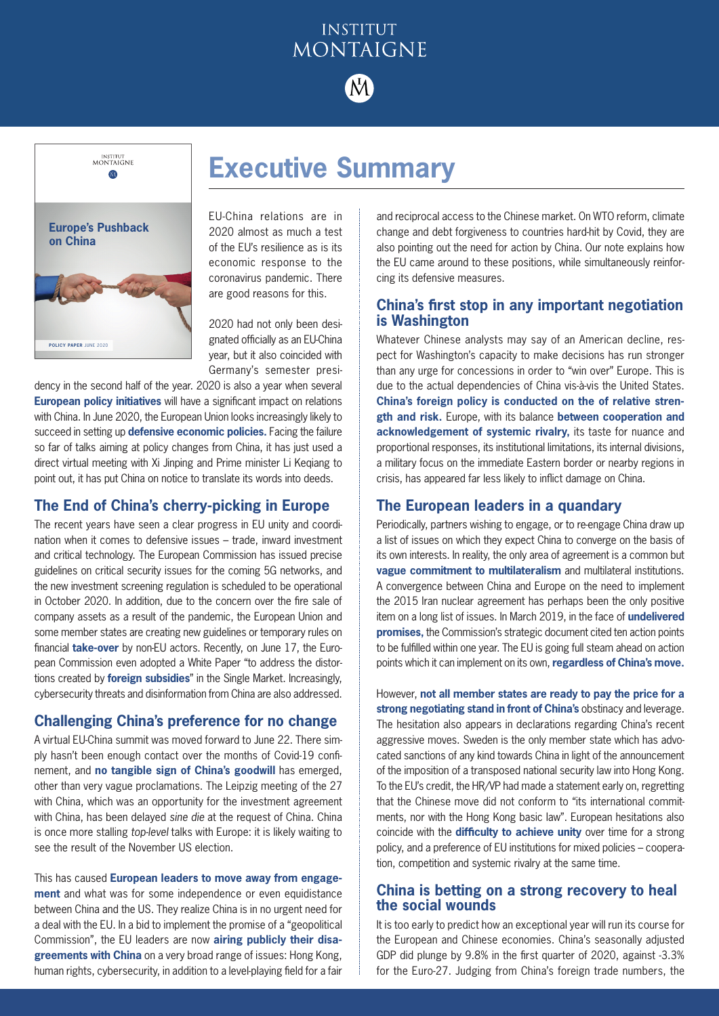# **INSTITUT** MONTAIGNE

**Executive Summary**



EU-China relations are in 2020 almost as much a test of the EU's resilience as is its economic response to the coronavirus pandemic. There are good reasons for this.

2020 had not only been designated officially as an EU-China year, but it also coincided with Germany's semester presi-

dency in the second half of the year. 2020 is also a year when several **European policy initiatives** will have a significant impact on relations with China. In June 2020, the European Union looks increasingly likely to succeed in setting up **defensive economic policies.** Facing the failure so far of talks aiming at policy changes from China, it has just used a direct virtual meeting with Xi Jinping and Prime minister Li Keqiang to point out, it has put China on notice to translate its words into deeds.

# **The End of China's cherry-picking in Europe**

The recent years have seen a clear progress in EU unity and coordination when it comes to defensive issues – trade, inward investment and critical technology. The European Commission has issued precise guidelines on critical security issues for the coming 5G networks, and the new investment screening regulation is scheduled to be operational in October 2020. In addition, due to the concern over the fire sale of company assets as a result of the pandemic, the European Union and some member states are creating new guidelines or temporary rules on financial **take-over** by non-EU actors. Recently, on June 17, the European Commission even adopted a White Paper "to address the distortions created by **foreign subsidies**" in the Single Market. Increasingly, cybersecurity threats and disinformation from China are also addressed.

## **Challenging China's preference for no change**

A virtual EU-China summit was moved forward to June 22. There simply hasn't been enough contact over the months of Covid-19 confinement, and **no tangible sign of China's goodwill** has emerged, other than very vague proclamations. The Leipzig meeting of the 27 with China, which was an opportunity for the investment agreement with China, has been delayed *sine die* at the request of China. China is once more stalling *top-level* talks with Europe: it is likely waiting to see the result of the November US election.

This has caused **European leaders to move away from engagement** and what was for some independence or even equidistance between China and the US. They realize China is in no urgent need for a deal with the EU. In a bid to implement the promise of a "geopolitical Commission", the EU leaders are now **airing publicly their disagreements with China** on a very broad range of issues: Hong Kong, human rights, cybersecurity, in addition to a level-playing field for a fair and reciprocal access to the Chinese market. On WTO reform, climate change and debt forgiveness to countries hard-hit by Covid, they are also pointing out the need for action by China. Our note explains how the EU came around to these positions, while simultaneously reinforcing its defensive measures.

# **China's first stop in any important negotiation is Washington**

Whatever Chinese analysts may say of an American decline, respect for Washington's capacity to make decisions has run stronger than any urge for concessions in order to "win over" Europe. This is due to the actual dependencies of China vis-à-vis the United States. **China's foreign policy is conducted on the of relative strength and risk.** Europe, with its balance **between cooperation and acknowledgement of systemic rivalry,** its taste for nuance and proportional responses, its institutional limitations, its internal divisions, a military focus on the immediate Eastern border or nearby regions in crisis, has appeared far less likely to inflict damage on China.

## **The European leaders in a quandary**

Periodically, partners wishing to engage, or to re-engage China draw up a list of issues on which they expect China to converge on the basis of its own interests. In reality, the only area of agreement is a common but **vague commitment to multilateralism** and multilateral institutions. A convergence between China and Europe on the need to implement the 2015 Iran nuclear agreement has perhaps been the only positive item on a long list of issues. In March 2019, in the face of **undelivered promises,** the Commission's strategic document cited ten action points to be fulfilled within one year. The EU is going full steam ahead on action points which it can implement on its own, **regardless of China's move.**

However, **not all member states are ready to pay the price for a strong negotiating stand in front of China's** obstinacy and leverage. The hesitation also appears in declarations regarding China's recent aggressive moves. Sweden is the only member state which has advocated sanctions of any kind towards China in light of the announcement of the imposition of a transposed national security law into Hong Kong. To the EU's credit, the HR/VP had made a statement early on, regretting that the Chinese move did not conform to "its international commitments, nor with the Hong Kong basic law". European hesitations also coincide with the **difficulty to achieve unity** over time for a strong policy, and a preference of EU institutions for mixed policies – cooperation, competition and systemic rivalry at the same time.

# **China is betting on a strong recovery to heal the social wounds**

It is too early to predict how an exceptional year will run its course for the European and Chinese economies. China's seasonally adjusted GDP did plunge by 9.8% in the first quarter of 2020, against -3.3% for the Euro-27. Judging from China's foreign trade numbers, the